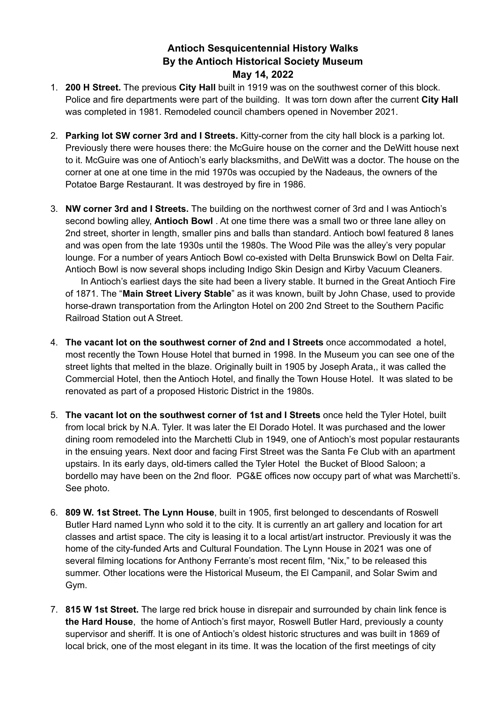## **Antioch Sesquicentennial History Walks By the Antioch Historical Society Museum May 14, 2022**

- 1. **200 H Street.** The previous **City Hall** built in 1919 was on the southwest corner of this block. Police and fire departments were part of the building. It was torn down after the current **City Hall** was completed in 1981. Remodeled council chambers opened in November 2021.
- 2. **Parking lot SW corner 3rd and I Streets.** Kitty-corner from the city hall block is a parking lot. Previously there were houses there: the McGuire house on the corner and the DeWitt house next to it. McGuire was one of Antioch's early blacksmiths, and DeWitt was a doctor. The house on the corner at one at one time in the mid 1970s was occupied by the Nadeaus, the owners of the Potatoe Barge Restaurant. It was destroyed by fire in 1986.
- 3. **NW corner 3rd and I Streets.** The building on the northwest corner of 3rd and I was Antioch's second bowling alley, **Antioch Bowl** . At one time there was a small two or three lane alley on 2nd street, shorter in length, smaller pins and balls than standard. Antioch bowl featured 8 lanes and was open from the late 1930s until the 1980s. The Wood Pile was the alley's very popular lounge. For a number of years Antioch Bowl co-existed with Delta Brunswick Bowl on Delta Fair. Antioch Bowl is now several shops including Indigo Skin Design and Kirby Vacuum Cleaners.

In Antioch's earliest days the site had been a livery stable. It burned in the Great Antioch Fire of 1871. The "**Main Street Livery Stable**" as it was known, built by John Chase, used to provide horse-drawn transportation from the Arlington Hotel on 200 2nd Street to the Southern Pacific Railroad Station out A Street.

- 4. **The vacant lot on the southwest corner of 2nd and I Streets** once accommodated a hotel, most recently the Town House Hotel that burned in 1998. In the Museum you can see one of the street lights that melted in the blaze. Originally built in 1905 by Joseph Arata,, it was called the Commercial Hotel, then the Antioch Hotel, and finally the Town House Hotel. It was slated to be renovated as part of a proposed Historic District in the 1980s.
- 5. **The vacant lot on the southwest corner of 1st and I Streets** once held the Tyler Hotel, built from local brick by N.A. Tyler. It was later the El Dorado Hotel. It was purchased and the lower dining room remodeled into the Marchetti Club in 1949, one of Antioch's most popular restaurants in the ensuing years. Next door and facing First Street was the Santa Fe Club with an apartment upstairs. In its early days, old-timers called the Tyler Hotel the Bucket of Blood Saloon; a bordello may have been on the 2nd floor. PG&E offices now occupy part of what was Marchetti's. See photo.
- 6. **809 W. 1st Street. The Lynn House**, built in 1905, first belonged to descendants of Roswell Butler Hard named Lynn who sold it to the city. It is currently an art gallery and location for art classes and artist space. The city is leasing it to a local artist/art instructor. Previously it was the home of the city-funded Arts and Cultural Foundation. The Lynn House in 2021 was one of several filming locations for Anthony Ferrante's most recent film, "Nix," to be released this summer. Other locations were the Historical Museum, the El Campanil, and Solar Swim and Gym.
- 7. **815 W 1st Street.** The large red brick house in disrepair and surrounded by chain link fence is **the Hard House**, the home of Antioch's first mayor, Roswell Butler Hard, previously a county supervisor and sheriff. It is one of Antioch's oldest historic structures and was built in 1869 of local brick, one of the most elegant in its time. It was the location of the first meetings of city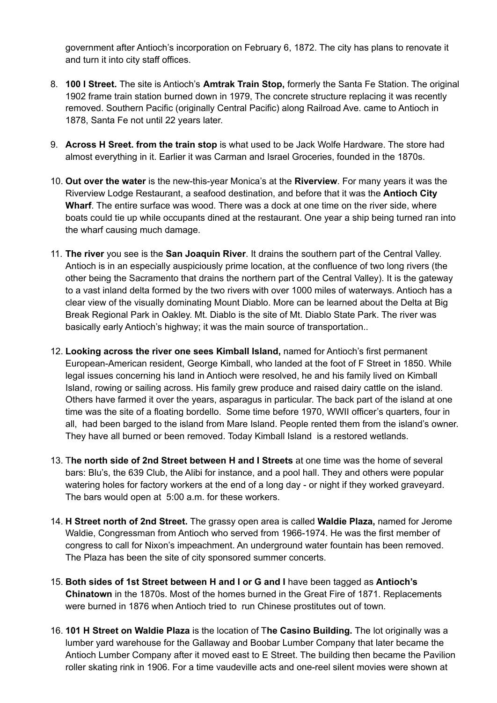government after Antioch's incorporation on February 6, 1872. The city has plans to renovate it and turn it into city staff offices.

- 8. **100 I Street.** The site is Antioch's **Amtrak Train Stop,** formerly the Santa Fe Station. The original 1902 frame train station burned down in 1979, The concrete structure replacing it was recently removed. Southern Pacific (originally Central Pacific) along Railroad Ave. came to Antioch in 1878, Santa Fe not until 22 years later.
- 9. **Across H Sreet. from the train stop** is what used to be Jack Wolfe Hardware. The store had almost everything in it. Earlier it was Carman and Israel Groceries, founded in the 1870s.
- 10. **Out over the water** is the new-this-year Monica's at the **Riverview**. For many years it was the Riverview Lodge Restaurant, a seafood destination, and before that it was the **Antioch City Wharf**. The entire surface was wood. There was a dock at one time on the river side, where boats could tie up while occupants dined at the restaurant. One year a ship being turned ran into the wharf causing much damage.
- 11. **The river** you see is the **San Joaquin River**. It drains the southern part of the Central Valley. Antioch is in an especially auspiciously prime location, at the confluence of two long rivers (the other being the Sacramento that drains the northern part of the Central Valley). It is the gateway to a vast inland delta formed by the two rivers with over 1000 miles of waterways. Antioch has a clear view of the visually dominating Mount Diablo. More can be learned about the Delta at Big Break Regional Park in Oakley. Mt. Diablo is the site of Mt. Diablo State Park. The river was basically early Antioch's highway; it was the main source of transportation..
- 12. **Looking across the river one sees Kimball Island,** named for Antioch's first permanent European-American resident, George Kimball, who landed at the foot of F Street in 1850. While legal issues concerning his land in Antioch were resolved, he and his family lived on Kimball Island, rowing or sailing across. His family grew produce and raised dairy cattle on the island. Others have farmed it over the years, asparagus in particular. The back part of the island at one time was the site of a floating bordello. Some time before 1970, WWII officer's quarters, four in all, had been barged to the island from Mare Island. People rented them from the island's owner. They have all burned or been removed. Today Kimball Island is a restored wetlands.
- 13. T**he north side of 2nd Street between H and I Streets** at one time was the home of several bars: Blu's, the 639 Club, the Alibi for instance, and a pool hall. They and others were popular watering holes for factory workers at the end of a long day - or night if they worked graveyard. The bars would open at 5:00 a.m. for these workers.
- 14. **H Street north of 2nd Street.** The grassy open area is called **Waldie Plaza,** named for Jerome Waldie, Congressman from Antioch who served from 1966-1974. He was the first member of congress to call for Nixon's impeachment. An underground water fountain has been removed. The Plaza has been the site of city sponsored summer concerts.
- 15. **Both sides of 1st Street between H and I or G and I** have been tagged as **Antioch's Chinatown** in the 1870s. Most of the homes burned in the Great Fire of 1871. Replacements were burned in 1876 when Antioch tried to run Chinese prostitutes out of town.
- 16. **101 H Street on Waldie Plaza** is the location of T**he Casino Building.** The lot originally was a lumber yard warehouse for the Gallaway and Boobar Lumber Company that later became the Antioch Lumber Company after it moved east to E Street. The building then became the Pavilion roller skating rink in 1906. For a time vaudeville acts and one-reel silent movies were shown at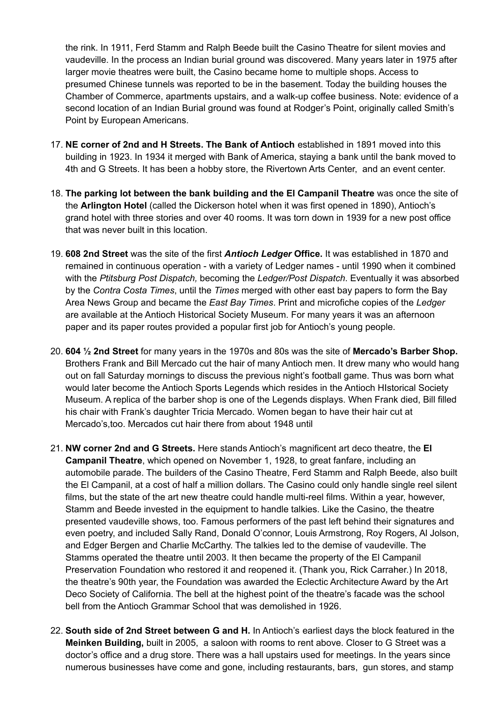the rink. In 1911, Ferd Stamm and Ralph Beede built the Casino Theatre for silent movies and vaudeville. In the process an Indian burial ground was discovered. Many years later in 1975 after larger movie theatres were built, the Casino became home to multiple shops. Access to presumed Chinese tunnels was reported to be in the basement. Today the building houses the Chamber of Commerce, apartments upstairs, and a walk-up coffee business. Note: evidence of a second location of an Indian Burial ground was found at Rodger's Point, originally called Smith's Point by European Americans.

- 17. **NE corner of 2nd and H Streets. The Bank of Antioch** established in 1891 moved into this building in 1923. In 1934 it merged with Bank of America, staying a bank until the bank moved to 4th and G Streets. It has been a hobby store, the Rivertown Arts Center, and an event center.
- 18. **The parking lot between the bank building and the El Campanil Theatre** was once the site of the **Arlington Hotel** (called the Dickerson hotel when it was first opened in 1890), Antioch's grand hotel with three stories and over 40 rooms. It was torn down in 1939 for a new post office that was never built in this location.
- 19. **608 2nd Street** was the site of the first *Antioch Ledger* **Office.** It was established in 1870 and remained in continuous operation - with a variety of Ledger names - until 1990 when it combined with the *Ptitsburg Post Dispatch,* becoming the *Ledger/Post Dispatch*. Eventually it was absorbed by the *Contra Costa Times*, until the *Times* merged with other east bay papers to form the Bay Area News Group and became the *East Bay Times*. Print and microfiche copies of the *Ledger* are available at the Antioch Historical Society Museum. For many years it was an afternoon paper and its paper routes provided a popular first job for Antioch's young people.
- 20. **604 ½ 2nd Street** for many years in the 1970s and 80s was the site of **Mercado's Barber Shop.** Brothers Frank and Bill Mercado cut the hair of many Antioch men. It drew many who would hang out on fall Saturday mornings to discuss the previous night's football game. Thus was born what would later become the Antioch Sports Legends which resides in the Antioch HIstorical Society Museum. A replica of the barber shop is one of the Legends displays. When Frank died, Bill filled his chair with Frank's daughter Tricia Mercado. Women began to have their hair cut at Mercado's,too. Mercados cut hair there from about 1948 until
- 21. **NW corner 2nd and G Streets.** Here stands Antioch's magnificent art deco theatre, the **El Campanil Theatre**, which opened on November 1, 1928, to great fanfare, including an automobile parade. The builders of the Casino Theatre, Ferd Stamm and Ralph Beede, also built the El Campanil, at a cost of half a million dollars. The Casino could only handle single reel silent films, but the state of the art new theatre could handle multi-reel films. Within a year, however, Stamm and Beede invested in the equipment to handle talkies. Like the Casino, the theatre presented vaudeville shows, too. Famous performers of the past left behind their signatures and even poetry, and included Sally Rand, Donald O'connor, Louis Armstrong, Roy Rogers, Al Jolson, and Edger Bergen and Charlie McCarthy. The talkies led to the demise of vaudeville. The Stamms operated the theatre until 2003. It then became the property of the El Campanil Preservation Foundation who restored it and reopened it. (Thank you, Rick Carraher.) In 2018, the theatre's 90th year, the Foundation was awarded the Eclectic Architecture Award by the Art Deco Society of California. The bell at the highest point of the theatre's facade was the school bell from the Antioch Grammar School that was demolished in 1926.
- 22. **South side of 2nd Street between G and H.** In Antioch's earliest days the block featured in the **Meinken Building,** built in 2005, a saloon with rooms to rent above. Closer to G Street was a doctor's office and a drug store. There was a hall upstairs used for meetings. In the years since numerous businesses have come and gone, including restaurants, bars, gun stores, and stamp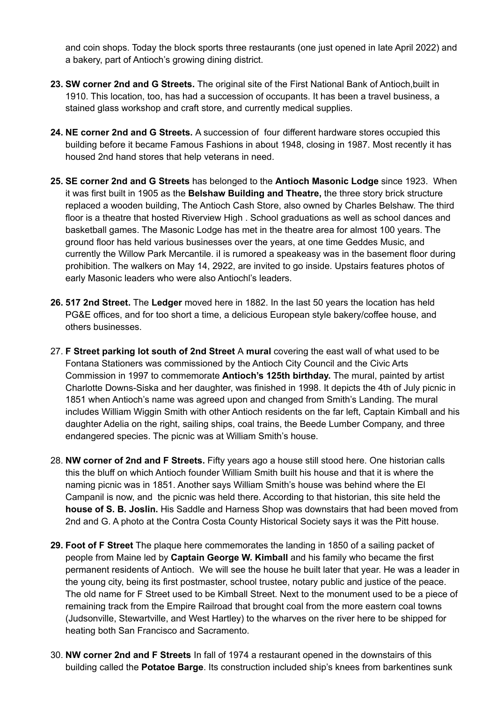and coin shops. Today the block sports three restaurants (one just opened in late April 2022) and a bakery, part of Antioch's growing dining district.

- **23. SW corner 2nd and G Streets.** The original site of the First National Bank of Antioch,built in 1910. This location, too, has had a succession of occupants. It has been a travel business, a stained glass workshop and craft store, and currently medical supplies.
- **24. NE corner 2nd and G Streets.** A succession of four different hardware stores occupied this building before it became Famous Fashions in about 1948, closing in 1987. Most recently it has housed 2nd hand stores that help veterans in need.
- **25. SE corner 2nd and G Streets** has belonged to the **Antioch Masonic Lodge** since 1923. When it was first built in 1905 as the **Belshaw Building and Theatre,** the three story brick structure replaced a wooden building, The Antioch Cash Store, also owned by Charles Belshaw. The third floor is a theatre that hosted Riverview High . School graduations as well as school dances and basketball games. The Masonic Lodge has met in the theatre area for almost 100 years. The ground floor has held various businesses over the years, at one time Geddes Music, and currently the Willow Park Mercantile. iI is rumored a speakeasy was in the basement floor during prohibition. The walkers on May 14, 2922, are invited to go inside. Upstairs features photos of early Masonic leaders who were also Antiochl's leaders.
- **26. 517 2nd Street.** The **Ledger** moved here in 1882. In the last 50 years the location has held PG&E offices, and for too short a time, a delicious European style bakery/coffee house, and others businesses.
- 27. **F Street parking lot south of 2nd Street** A **mural** covering the east wall of what used to be Fontana Stationers was commissioned by the Antioch City Council and the Civic Arts Commission in 1997 to commemorate **Antioch's 125th birthday.** The mural, painted by artist Charlotte Downs-Siska and her daughter, was finished in 1998. It depicts the 4th of July picnic in 1851 when Antioch's name was agreed upon and changed from Smith's Landing. The mural includes William Wiggin Smith with other Antioch residents on the far left, Captain Kimball and his daughter Adelia on the right, sailing ships, coal trains, the Beede Lumber Company, and three endangered species. The picnic was at William Smith's house.
- 28. **NW corner of 2nd and F Streets.** Fifty years ago a house still stood here. One historian calls this the bluff on which Antioch founder William Smith built his house and that it is where the naming picnic was in 1851. Another says William Smith's house was behind where the El Campanil is now, and the picnic was held there. According to that historian, this site held the **house of S. B. Joslin.** His Saddle and Harness Shop was downstairs that had been moved from 2nd and G. A photo at the Contra Costa County Historical Society says it was the Pitt house.
- **29. Foot of F Street** The plaque here commemorates the landing in 1850 of a sailing packet of people from Maine led by **Captain George W. Kimball** and his family who became the first permanent residents of Antioch. We will see the house he built later that year. He was a leader in the young city, being its first postmaster, school trustee, notary public and justice of the peace. The old name for F Street used to be Kimball Street. Next to the monument used to be a piece of remaining track from the Empire Railroad that brought coal from the more eastern coal towns (Judsonville, Stewartville, and West Hartley) to the wharves on the river here to be shipped for heating both San Francisco and Sacramento.
- 30. **NW corner 2nd and F Streets** In fall of 1974 a restaurant opened in the downstairs of this building called the **Potatoe Barge**. Its construction included ship's knees from barkentines sunk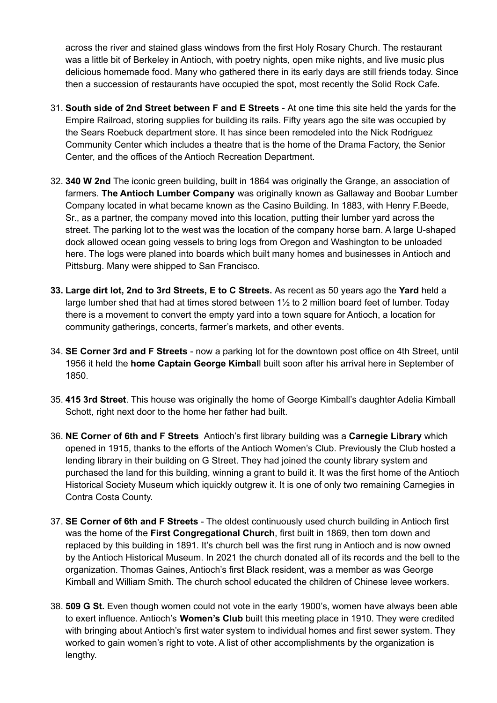across the river and stained glass windows from the first Holy Rosary Church. The restaurant was a little bit of Berkeley in Antioch, with poetry nights, open mike nights, and live music plus delicious homemade food. Many who gathered there in its early days are still friends today. Since then a succession of restaurants have occupied the spot, most recently the Solid Rock Cafe.

- 31. **South side of 2nd Street between F and E Streets** At one time this site held the yards for the Empire Railroad, storing supplies for building its rails. Fifty years ago the site was occupied by the Sears Roebuck department store. It has since been remodeled into the Nick Rodriguez Community Center which includes a theatre that is the home of the Drama Factory, the Senior Center, and the offices of the Antioch Recreation Department.
- 32. **340 W 2nd** The iconic green building, built in 1864 was originally the Grange, an association of farmers. **The Antioch Lumber Company** was originally known as Gallaway and Boobar Lumber Company located in what became known as the Casino Building. In 1883, with Henry F.Beede, Sr., as a partner, the company moved into this location, putting their lumber yard across the street. The parking lot to the west was the location of the company horse barn. A large U-shaped dock allowed ocean going vessels to bring logs from Oregon and Washington to be unloaded here. The logs were planed into boards which built many homes and businesses in Antioch and Pittsburg. Many were shipped to San Francisco.
- **33. Large dirt lot, 2nd to 3rd Streets, E to C Streets.** As recent as 50 years ago the **Yard** held a large lumber shed that had at times stored between 1½ to 2 million board feet of lumber. Today there is a movement to convert the empty yard into a town square for Antioch, a location for community gatherings, concerts, farmer's markets, and other events.
- 34. **SE Corner 3rd and F Streets** now a parking lot for the downtown post office on 4th Street, until 1956 it held the **home Captain George Kimbal**l built soon after his arrival here in September of 1850.
- 35. **415 3rd Street**. This house was originally the home of George Kimball's daughter Adelia Kimball Schott, right next door to the home her father had built.
- 36. **NE Corner of 6th and F Streets** Antioch's first library building was a **Carnegie Library** which opened in 1915, thanks to the efforts of the Antioch Women's Club. Previously the Club hosted a lending library in their building on G Street. They had joined the county library system and purchased the land for this building, winning a grant to build it. It was the first home of the Antioch Historical Society Museum which iquickly outgrew it. It is one of only two remaining Carnegies in Contra Costa County.
- 37. **SE Corner of 6th and F Streets** The oldest continuously used church building in Antioch first was the home of the **First Congregational Church**, first built in 1869, then torn down and replaced by this building in 1891. It's church bell was the first rung in Antioch and is now owned by the Antioch Historical Museum. In 2021 the church donated all of its records and the bell to the organization. Thomas Gaines, Antioch's first Black resident, was a member as was George Kimball and William Smith. The church school educated the children of Chinese levee workers.
- 38. **509 G St.** Even though women could not vote in the early 1900's, women have always been able to exert influence. Antioch's **Women's Club** built this meeting place in 1910. They were credited with bringing about Antioch's first water system to individual homes and first sewer system. They worked to gain women's right to vote. A list of other accomplishments by the organization is lengthy.